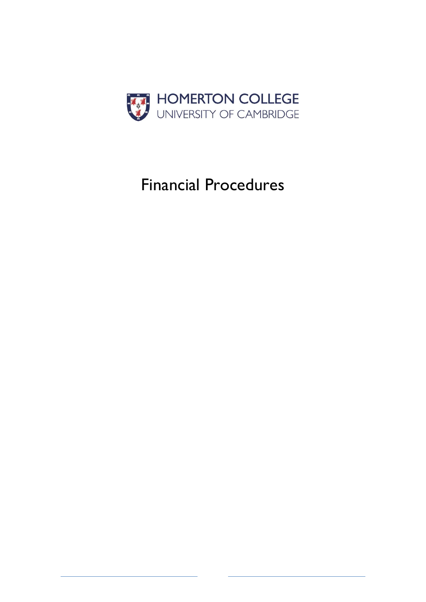

# Financial Procedures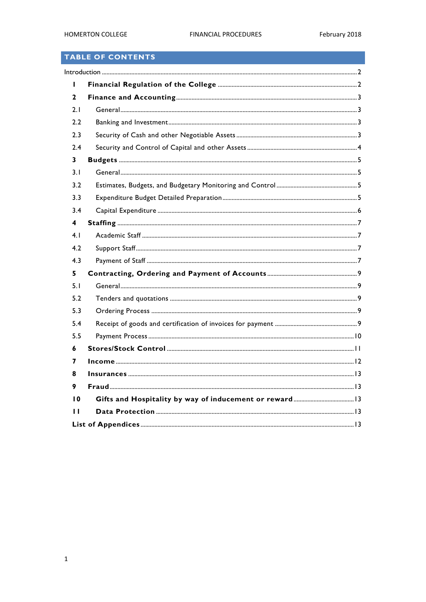## TABLE OF CONTENTS

| 2               |  |  |
|-----------------|--|--|
| 2.1             |  |  |
| 2.2             |  |  |
| 2.3             |  |  |
| 2.4             |  |  |
| 3               |  |  |
| 3.1             |  |  |
| 3.2             |  |  |
| 3.3             |  |  |
| 3.4             |  |  |
| 4               |  |  |
| 4.1             |  |  |
| 4.2             |  |  |
| 4.3             |  |  |
| 5               |  |  |
| 5.1             |  |  |
| 5.2             |  |  |
| 5.3             |  |  |
| 5.4             |  |  |
| 5.5             |  |  |
| 6               |  |  |
| 7               |  |  |
| 8               |  |  |
| 9               |  |  |
| $\overline{10}$ |  |  |
| ' '             |  |  |
|                 |  |  |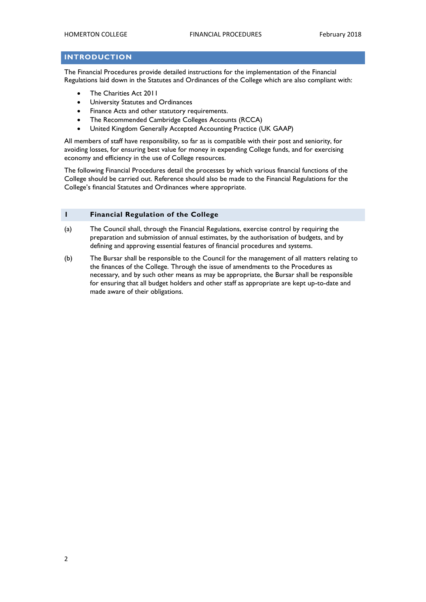#### <span id="page-2-0"></span>**INTRODUCTION**

The Financial Procedures provide detailed instructions for the implementation of the Financial Regulations laid down in the Statutes and Ordinances of the College which are also compliant with:

- The Charities Act 2011
- University Statutes and Ordinances
- Finance Acts and other statutory requirements.
- The Recommended Cambridge Colleges Accounts (RCCA)
- United Kingdom Generally Accepted Accounting Practice (UK GAAP)

All members of staff have responsibility, so far as is compatible with their post and seniority, for avoiding losses, for ensuring best value for money in expending College funds, and for exercising economy and efficiency in the use of College resources.

The following Financial Procedures detail the processes by which various financial functions of the College should be carried out. Reference should also be made to the Financial Regulations for the College's financial Statutes and Ordinances where appropriate.

#### <span id="page-2-1"></span>**1 Financial Regulation of the College**

- (a) The Council shall, through the Financial Regulations, exercise control by requiring the preparation and submission of annual estimates, by the authorisation of budgets, and by defining and approving essential features of financial procedures and systems.
- (b) The Bursar shall be responsible to the Council for the management of all matters relating to the finances of the College. Through the issue of amendments to the Procedures as necessary, and by such other means as may be appropriate, the Bursar shall be responsible for ensuring that all budget holders and other staff as appropriate are kept up-to-date and made aware of their obligations.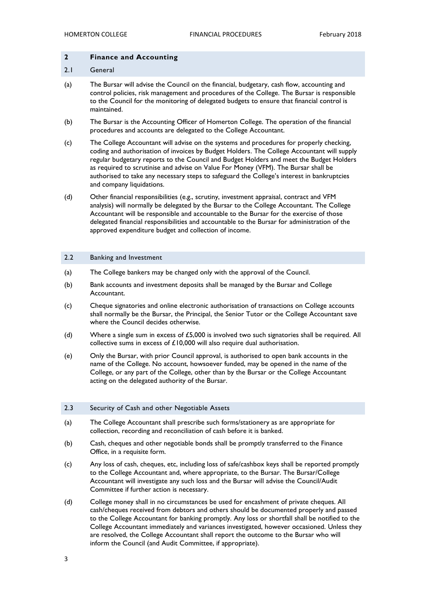#### <span id="page-3-0"></span>**2 Finance and Accounting**

#### <span id="page-3-1"></span>2.1 General

- (a) The Bursar will advise the Council on the financial, budgetary, cash flow, accounting and control policies, risk management and procedures of the College. The Bursar is responsible to the Council for the monitoring of delegated budgets to ensure that financial control is maintained.
- (b) The Bursar is the Accounting Officer of Homerton College. The operation of the financial procedures and accounts are delegated to the College Accountant.
- (c) The College Accountant will advise on the systems and procedures for properly checking, coding and authorisation of invoices by Budget Holders. The College Accountant will supply regular budgetary reports to the Council and Budget Holders and meet the Budget Holders as required to scrutinise and advise on Value For Money (VFM). The Bursar shall be authorised to take any necessary steps to safeguard the College's interest in bankruptcies and company liquidations.
- (d) Other financial responsibilities (e.g., scrutiny, investment appraisal, contract and VFM analysis) will normally be delegated by the Bursar to the College Accountant. The College Accountant will be responsible and accountable to the Bursar for the exercise of those delegated financial responsibilities and accountable to the Bursar for administration of the approved expenditure budget and collection of income.

#### <span id="page-3-2"></span>2.2 Banking and Investment

- (a) The College bankers may be changed only with the approval of the Council.
- (b) Bank accounts and investment deposits shall be managed by the Bursar and College Accountant.
- (c) Cheque signatories and online electronic authorisation of transactions on College accounts shall normally be the Bursar, the Principal, the Senior Tutor or the College Accountant save where the Council decides otherwise.
- (d) Where a single sum in excess of  $£5,000$  is involved two such signatories shall be required. All collective sums in excess of £10,000 will also require dual authorisation.
- (e) Only the Bursar, with prior Council approval, is authorised to open bank accounts in the name of the College. No account, howsoever funded, may be opened in the name of the College, or any part of the College, other than by the Bursar or the College Accountant acting on the delegated authority of the Bursar.

#### <span id="page-3-3"></span>2.3 Security of Cash and other Negotiable Assets

- (a) The College Accountant shall prescribe such forms/stationery as are appropriate for collection, recording and reconciliation of cash before it is banked.
- (b) Cash, cheques and other negotiable bonds shall be promptly transferred to the Finance Office, in a requisite form.
- (c) Any loss of cash, cheques, etc, including loss of safe/cashbox keys shall be reported promptly to the College Accountant and, where appropriate, to the Bursar. The Bursar/College Accountant will investigate any such loss and the Bursar will advise the Council/Audit Committee if further action is necessary.
- (d) College money shall in no circumstances be used for encashment of private cheques. All cash/cheques received from debtors and others should be documented properly and passed to the College Accountant for banking promptly. Any loss or shortfall shall be notified to the College Accountant immediately and variances investigated, however occasioned. Unless they are resolved, the College Accountant shall report the outcome to the Bursar who will inform the Council (and Audit Committee, if appropriate).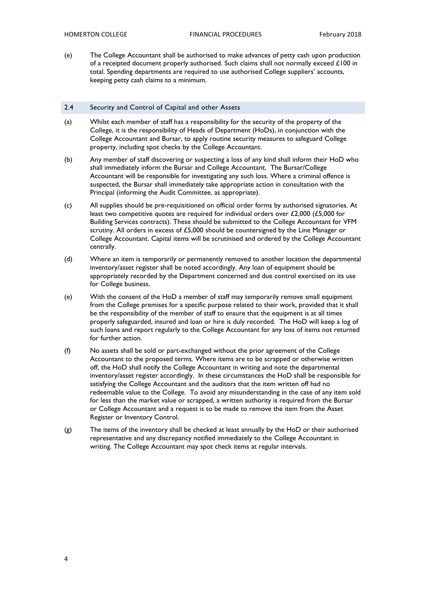(e) The College Accountant shall be authorised to make advances of petty cash upon production of a receipted document properly authorised. Such claims shall not normally exceed £100 in total. Spending departments are required to use authorised College suppliers' accounts, keeping petty cash claims to a minimum.

#### <span id="page-4-0"></span>2.4 Security and Control of Capital and other Assets

- (a) Whilst each member of staff has a responsibility for the security of the property of the College, it is the responsibility of Heads of Department (HoDs), in conjunction with the College Accountant and Bursar, to apply routine security measures to safeguard College property, including spot checks by the College Accountant.
- (b) Any member of staff discovering or suspecting a loss of any kind shall inform their HoD who shall immediately inform the Bursar and College Accountant. The Bursar/College Accountant will be responsible for investigating any such loss. Where a criminal offence is suspected, the Bursar shall immediately take appropriate action in consultation with the Principal (informing the Audit Committee, as appropriate).
- (c) All supplies should be pre-requisitioned on official order forms by authorised signatories. At least two competitive quotes are required for individual orders over £2,000 (£5,000 for Building Services contracts). These should be submitted to the College Accountant for VFM scrutiny. All orders in excess of £5,000 should be countersigned by the Line Manager or College Accountant. Capital items will be scrutinised and ordered by the College Accountant centrally.
- (d) Where an item is temporarily or permanently removed to another location the departmental inventory/asset register shall be noted accordingly. Any loan of equipment should be appropriately recorded by the Department concerned and due control exercised on its use for College business.
- (e) With the consent of the HoD a member of staff may temporarily remove small equipment from the College premises for a specific purpose related to their work, provided that it shall be the responsibility of the member of staff to ensure that the equipment is at all times properly safeguarded, insured and loan or hire is duly recorded. The HoD will keep a log of such loans and report regularly to the College Accountant for any loss of items not returned for further action.
- (f) No assets shall be sold or part-exchanged without the prior agreement of the College Accountant to the proposed terms. Where items are to be scrapped or otherwise written off, the HoD shall notify the College Accountant in writing and note the departmental inventory/asset register accordingly. In these circumstances the HoD shall be responsible for satisfying the College Accountant and the auditors that the item written off had no redeemable value to the College. To avoid any misunderstanding in the case of any item sold for less than the market value or scrapped, a written authority is required from the Bursar or College Accountant and a request is to be made to remove the item from the Asset Register or Inventory Control.
- (g) The items of the inventory shall be checked at least annually by the HoD or their authorised representative and any discrepancy notified immediately to the College Accountant in writing. The College Accountant may spot check items at regular intervals.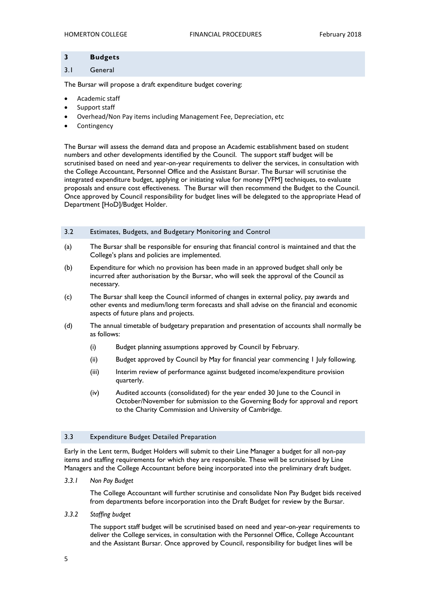#### <span id="page-5-0"></span>**3 Budgets**

#### <span id="page-5-1"></span>3.1 General

The Bursar will propose a draft expenditure budget covering:

- Academic staff
- Support staff
- Overhead/Non Pay items including Management Fee, Depreciation, etc
- Contingency

The Bursar will assess the demand data and propose an Academic establishment based on student numbers and other developments identified by the Council. The support staff budget will be scrutinised based on need and year-on-year requirements to deliver the services, in consultation with the College Accountant, Personnel Office and the Assistant Bursar. The Bursar will scrutinise the integrated expenditure budget, applying or initiating value for money [VFM] techniques, to evaluate proposals and ensure cost effectiveness. The Bursar will then recommend the Budget to the Council. Once approved by Council responsibility for budget lines will be delegated to the appropriate Head of Department [HoD]/Budget Holder.

#### <span id="page-5-2"></span>3.2 Estimates, Budgets, and Budgetary Monitoring and Control

- (a) The Bursar shall be responsible for ensuring that financial control is maintained and that the College's plans and policies are implemented.
- (b) Expenditure for which no provision has been made in an approved budget shall only be incurred after authorisation by the Bursar, who will seek the approval of the Council as necessary.
- (c) The Bursar shall keep the Council informed of changes in external policy, pay awards and other events and medium/long term forecasts and shall advise on the financial and economic aspects of future plans and projects.
- (d) The annual timetable of budgetary preparation and presentation of accounts shall normally be as follows:
	- (i) Budget planning assumptions approved by Council by February.
	- (ii) Budget approved by Council by May for financial year commencing 1 July following.
	- (iii) Interim review of performance against budgeted income/expenditure provision quarterly.
	- (iv) Audited accounts (consolidated) for the year ended 30 June to the Council in October/November for submission to the Governing Body for approval and report to the Charity Commission and University of Cambridge.

#### <span id="page-5-3"></span>3.3 Expenditure Budget Detailed Preparation

Early in the Lent term, Budget Holders will submit to their Line Manager a budget for all non-pay items and staffing requirements for which they are responsible. These will be scrutinised by Line Managers and the College Accountant before being incorporated into the preliminary draft budget.

*3.3.1 Non Pay Budget*

The College Accountant will further scrutinise and consolidate Non Pay Budget bids received from departments before incorporation into the Draft Budget for review by the Bursar.

*3.3.2 Staffing budget*

The support staff budget will be scrutinised based on need and year-on-year requirements to deliver the College services, in consultation with the Personnel Office, College Accountant and the Assistant Bursar. Once approved by Council, responsibility for budget lines will be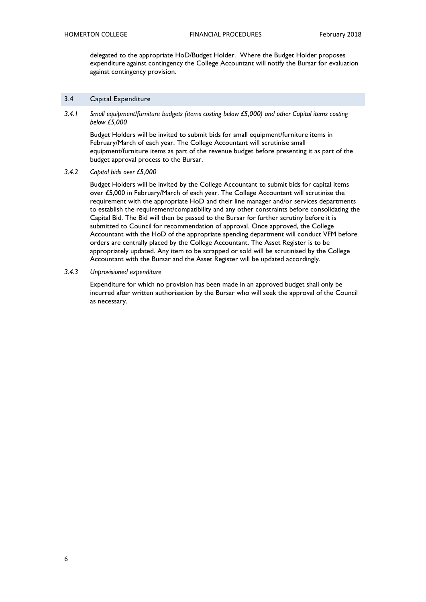delegated to the appropriate HoD/Budget Holder. Where the Budget Holder proposes expenditure against contingency the College Accountant will notify the Bursar for evaluation against contingency provision.

#### <span id="page-6-0"></span>3.4 Capital Expenditure

*3.4.1 Small equipment/furniture budgets (items costing below £5,000) and other Capital items costing below £5,000*

Budget Holders will be invited to submit bids for small equipment/furniture items in February/March of each year. The College Accountant will scrutinise small equipment/furniture items as part of the revenue budget before presenting it as part of the budget approval process to the Bursar.

*3.4.2 Capital bids over £5,000*

Budget Holders will be invited by the College Accountant to submit bids for capital items over £5,000 in February/March of each year. The College Accountant will scrutinise the requirement with the appropriate HoD and their line manager and/or services departments to establish the requirement/compatibility and any other constraints before consolidating the Capital Bid. The Bid will then be passed to the Bursar for further scrutiny before it is submitted to Council for recommendation of approval. Once approved, the College Accountant with the HoD of the appropriate spending department will conduct VFM before orders are centrally placed by the College Accountant. The Asset Register is to be appropriately updated. Any item to be scrapped or sold will be scrutinised by the College Accountant with the Bursar and the Asset Register will be updated accordingly.

#### *3.4.3 Unprovisioned expenditure*

Expenditure for which no provision has been made in an approved budget shall only be incurred after written authorisation by the Bursar who will seek the approval of the Council as necessary.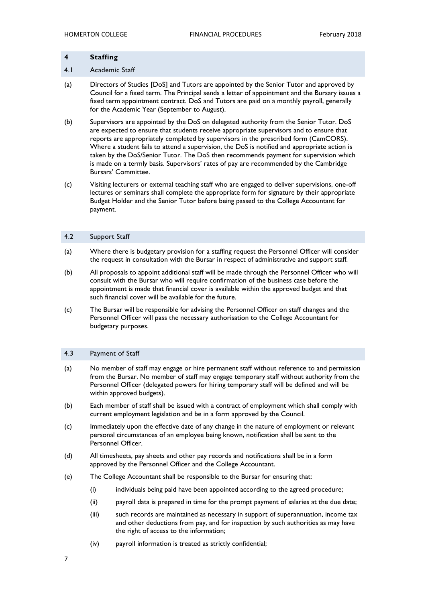### <span id="page-7-1"></span><span id="page-7-0"></span>**4 Staffing** 4.1 Academic Staff

- (a) Directors of Studies [DoS] and Tutors are appointed by the Senior Tutor and approved by Council for a fixed term. The Principal sends a letter of appointment and the Bursary issues a fixed term appointment contract. DoS and Tutors are paid on a monthly payroll, generally for the Academic Year (September to August).
- (b) Supervisors are appointed by the DoS on delegated authority from the Senior Tutor. DoS are expected to ensure that students receive appropriate supervisors and to ensure that reports are appropriately completed by supervisors in the prescribed form (CamCORS). Where a student fails to attend a supervision, the DoS is notified and appropriate action is taken by the DoS/Senior Tutor. The DoS then recommends payment for supervision which is made on a termly basis. Supervisors' rates of pay are recommended by the Cambridge Bursars' Committee.
- (c) Visiting lecturers or external teaching staff who are engaged to deliver supervisions, one-off lectures or seminars shall complete the appropriate form for signature by their appropriate Budget Holder and the Senior Tutor before being passed to the College Accountant for payment.

#### <span id="page-7-2"></span>4.2 Support Staff

- (a) Where there is budgetary provision for a staffing request the Personnel Officer will consider the request in consultation with the Bursar in respect of administrative and support staff.
- (b) All proposals to appoint additional staff will be made through the Personnel Officer who will consult with the Bursar who will require confirmation of the business case before the appointment is made that financial cover is available within the approved budget and that such financial cover will be available for the future.
- (c) The Bursar will be responsible for advising the Personnel Officer on staff changes and the Personnel Officer will pass the necessary authorisation to the College Accountant for budgetary purposes.

#### <span id="page-7-3"></span>4.3 Payment of Staff

- (a) No member of staff may engage or hire permanent staff without reference to and permission from the Bursar. No member of staff may engage temporary staff without authority from the Personnel Officer (delegated powers for hiring temporary staff will be defined and will be within approved budgets).
- (b) Each member of staff shall be issued with a contract of employment which shall comply with current employment legislation and be in a form approved by the Council.
- (c) Immediately upon the effective date of any change in the nature of employment or relevant personal circumstances of an employee being known, notification shall be sent to the Personnel Officer.
- (d) All timesheets, pay sheets and other pay records and notifications shall be in a form approved by the Personnel Officer and the College Accountant.
- (e) The College Accountant shall be responsible to the Bursar for ensuring that:
	- (i) individuals being paid have been appointed according to the agreed procedure;
	- (ii) payroll data is prepared in time for the prompt payment of salaries at the due date;
	- (iii) such records are maintained as necessary in support of superannuation, income tax and other deductions from pay, and for inspection by such authorities as may have the right of access to the information;
	- (iv) payroll information is treated as strictly confidential;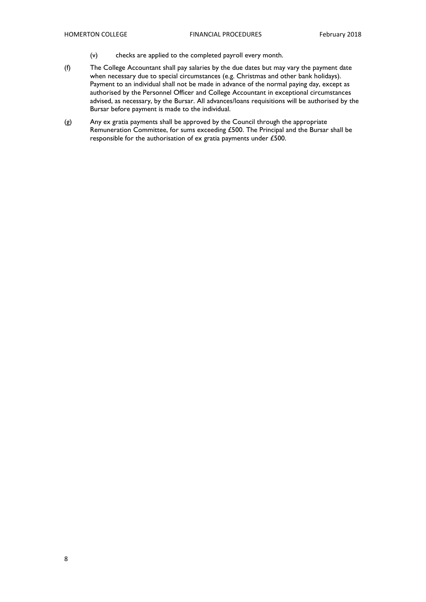- (v) checks are applied to the completed payroll every month.
- (f) The College Accountant shall pay salaries by the due dates but may vary the payment date when necessary due to special circumstances (e.g. Christmas and other bank holidays). Payment to an individual shall not be made in advance of the normal paying day, except as authorised by the Personnel Officer and College Accountant in exceptional circumstances advised, as necessary, by the Bursar. All advances/loans requisitions will be authorised by the Bursar before payment is made to the individual.
- (g) Any ex gratia payments shall be approved by the Council through the appropriate Remuneration Committee, for sums exceeding £500. The Principal and the Bursar shall be responsible for the authorisation of ex gratia payments under £500.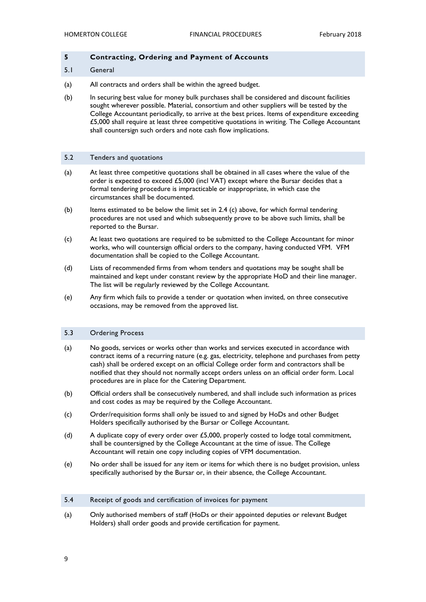#### <span id="page-9-0"></span>**5 Contracting, Ordering and Payment of Accounts**

#### <span id="page-9-1"></span>5.1 General

- (a) All contracts and orders shall be within the agreed budget.
- (b) In securing best value for money bulk purchases shall be considered and discount facilities sought wherever possible. Material, consortium and other suppliers will be tested by the College Accountant periodically, to arrive at the best prices. Items of expenditure exceeding £5,000 shall require at least three competitive quotations in writing. The College Accountant shall countersign such orders and note cash flow implications.

#### <span id="page-9-2"></span>5.2 Tenders and quotations

- (a) At least three competitive quotations shall be obtained in all cases where the value of the order is expected to exceed £5,000 (incl VAT) except where the Bursar decides that a formal tendering procedure is impracticable or inappropriate, in which case the circumstances shall be documented.
- (b) Items estimated to be below the limit set in 2.4 (c) above, for which formal tendering procedures are not used and which subsequently prove to be above such limits, shall be reported to the Bursar.
- (c) At least two quotations are required to be submitted to the College Accountant for minor works, who will countersign official orders to the company, having conducted VFM. VFM documentation shall be copied to the College Accountant.
- (d) Lists of recommended firms from whom tenders and quotations may be sought shall be maintained and kept under constant review by the appropriate HoD and their line manager. The list will be regularly reviewed by the College Accountant.
- (e) Any firm which fails to provide a tender or quotation when invited, on three consecutive occasions, may be removed from the approved list.

#### <span id="page-9-3"></span>5.3 Ordering Process

- (a) No goods, services or works other than works and services executed in accordance with contract items of a recurring nature (e.g. gas, electricity, telephone and purchases from petty cash) shall be ordered except on an official College order form and contractors shall be notified that they should not normally accept orders unless on an official order form. Local procedures are in place for the Catering Department.
- (b) Official orders shall be consecutively numbered, and shall include such information as prices and cost codes as may be required by the College Accountant.
- (c) Order/requisition forms shall only be issued to and signed by HoDs and other Budget Holders specifically authorised by the Bursar or College Accountant.
- (d) A duplicate copy of every order over £5,000, properly costed to lodge total commitment, shall be countersigned by the College Accountant at the time of issue. The College Accountant will retain one copy including copies of VFM documentation.
- (e) No order shall be issued for any item or items for which there is no budget provision, unless specifically authorised by the Bursar or, in their absence, the College Accountant.

#### <span id="page-9-4"></span>5.4 Receipt of goods and certification of invoices for payment

(a) Only authorised members of staff (HoDs or their appointed deputies or relevant Budget Holders) shall order goods and provide certification for payment.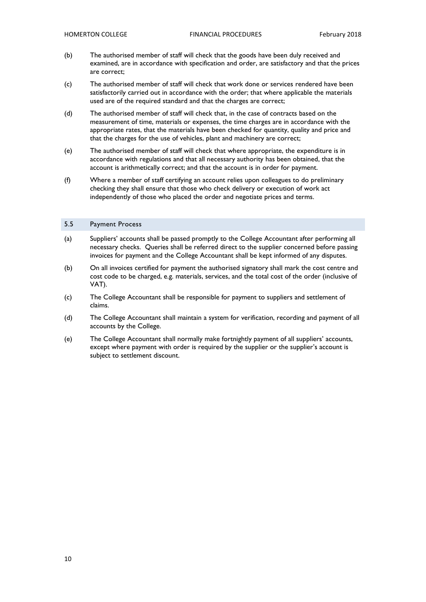- (b) The authorised member of staff will check that the goods have been duly received and examined, are in accordance with specification and order, are satisfactory and that the prices are correct;
- (c) The authorised member of staff will check that work done or services rendered have been satisfactorily carried out in accordance with the order; that where applicable the materials used are of the required standard and that the charges are correct;
- (d) The authorised member of staff will check that, in the case of contracts based on the measurement of time, materials or expenses, the time charges are in accordance with the appropriate rates, that the materials have been checked for quantity, quality and price and that the charges for the use of vehicles, plant and machinery are correct;
- (e) The authorised member of staff will check that where appropriate, the expenditure is in accordance with regulations and that all necessary authority has been obtained, that the account is arithmetically correct; and that the account is in order for payment.
- (f) Where a member of staff certifying an account relies upon colleagues to do preliminary checking they shall ensure that those who check delivery or execution of work act independently of those who placed the order and negotiate prices and terms.

#### <span id="page-10-0"></span>5.5 Payment Process

- (a) Suppliers' accounts shall be passed promptly to the College Accountant after performing all necessary checks. Queries shall be referred direct to the supplier concerned before passing invoices for payment and the College Accountant shall be kept informed of any disputes.
- (b) On all invoices certified for payment the authorised signatory shall mark the cost centre and cost code to be charged, e.g. materials, services, and the total cost of the order (inclusive of VAT).
- (c) The College Accountant shall be responsible for payment to suppliers and settlement of claims.
- (d) The College Accountant shall maintain a system for verification, recording and payment of all accounts by the College.
- (e) The College Accountant shall normally make fortnightly payment of all suppliers' accounts, except where payment with order is required by the supplier or the supplier's account is subject to settlement discount.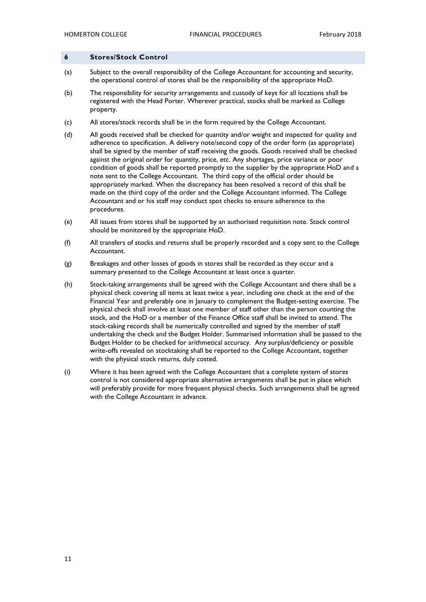#### <span id="page-11-0"></span>**6 Stores/Stock Control**

- (a) Subject to the overall responsibility of the College Accountant for accounting and security, the operational control of stores shall be the responsibility of the appropriate HoD.
- (b) The responsibility for security arrangements and custody of keys for all locations shall be registered with the Head Porter. Wherever practical, stocks shall be marked as College property.
- (c) All stores/stock records shall be in the form required by the College Accountant.
- (d) All goods received shall be checked for quantity and/or weight and inspected for quality and adherence to specification. A delivery note/second copy of the order form (as appropriate) shall be signed by the member of staff receiving the goods. Goods received shall be checked against the original order for quantity, price, etc. Any shortages, price variance or poor condition of goods shall be reported promptly to the supplier by the appropriate HoD and a note sent to the College Accountant. The third copy of the official order should be appropriately marked. When the discrepancy has been resolved a record of this shall be made on the third copy of the order and the College Accountant informed. The College Accountant and or his staff may conduct spot checks to ensure adherence to the procedures.
- (e) All issues from stores shall be supported by an authorised requisition note. Stock control should be monitored by the appropriate HoD.
- (f) All transfers of stocks and returns shall be properly recorded and a copy sent to the College Accountant.
- (g) Breakages and other losses of goods in stores shall be recorded as they occur and a summary presented to the College Accountant at least once a quarter.
- (h) Stock-taking arrangements shall be agreed with the College Accountant and there shall be a physical check covering all items at least twice a year, including one check at the end of the Financial Year and preferably one in January to complement the Budget-setting exercise. The physical check shall involve at least one member of staff other than the person counting the stock, and the HoD or a member of the Finance Office staff shall be invited to attend. The stock-taking records shall be numerically controlled and signed by the member of staff undertaking the check and the Budget Holder. Summarised information shall be passed to the Budget Holder to be checked for arithmetical accuracy. Any surplus/deficiency or possible write-offs revealed on stocktaking shall be reported to the College Accountant, together with the physical stock returns, duly costed.
- (i) Where it has been agreed with the College Accountant that a complete system of stores control is not considered appropriate alternative arrangements shall be put in place which will preferably provide for more frequent physical checks. Such arrangements shall be agreed with the College Accountant in advance.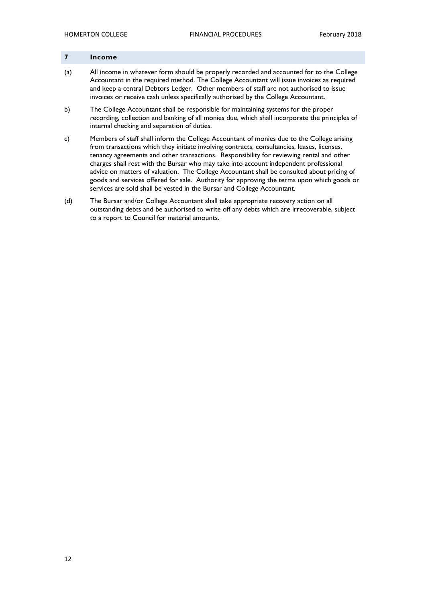#### <span id="page-12-0"></span>**7 Income**

- (a) All income in whatever form should be properly recorded and accounted for to the College Accountant in the required method. The College Accountant will issue invoices as required and keep a central Debtors Ledger. Other members of staff are not authorised to issue invoices or receive cash unless specifically authorised by the College Accountant.
- b) The College Accountant shall be responsible for maintaining systems for the proper recording, collection and banking of all monies due, which shall incorporate the principles of internal checking and separation of duties.
- c) Members of staff shall inform the College Accountant of monies due to the College arising from transactions which they initiate involving contracts, consultancies, leases, licenses, tenancy agreements and other transactions. Responsibility for reviewing rental and other charges shall rest with the Bursar who may take into account independent professional advice on matters of valuation. The College Accountant shall be consulted about pricing of goods and services offered for sale. Authority for approving the terms upon which goods or services are sold shall be vested in the Bursar and College Accountant.
- (d) The Bursar and/or College Accountant shall take appropriate recovery action on all outstanding debts and be authorised to write off any debts which are irrecoverable, subject to a report to Council for material amounts.